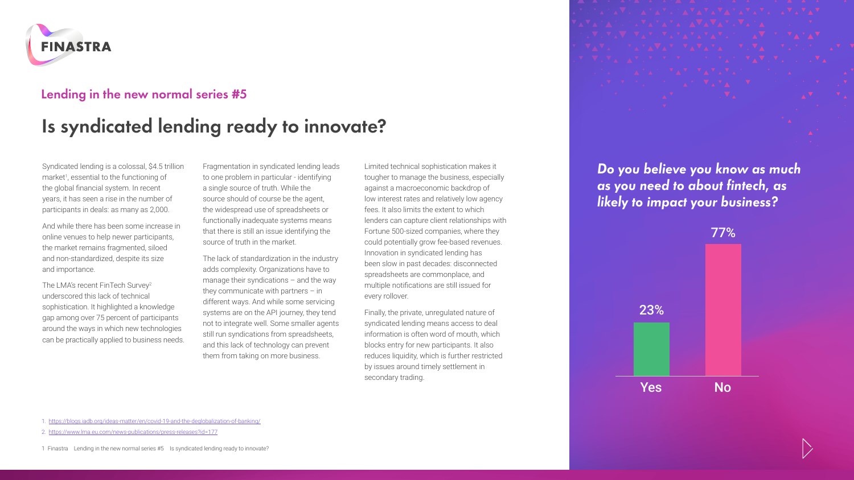

## **Lending in the new normal series #5**

## **Is syndicated lending ready to innovate?**

Syndicated lending is a colossal, \$4.5 trillion market<sup>1</sup>, essential to the functioning of the global financial system. In recent years, it has seen a rise in the number of participants in deals: as many as 2,000.

And while there has been some increase in online venues to help newer participants, the market remains fragmented, siloed and non-standardized, despite its size and importance.

The LMA's recent FinTech Survey<sup>2</sup> underscored this lack of technical sophistication. It highlighted a knowledge gap among over 75 percent of participants around the ways in which new technologies can be practically applied to business needs. Fragmentation in syndicated lending leads to one problem in particular - identifying a single source of truth. While the source should of course be the agent, the widespread use of spreadsheets or functionally inadequate systems means that there is still an issue identifying the source of truth in the market.

The lack of standardization in the industry adds complexity. Organizations have to manage their syndications – and the way they communicate with partners – in different ways. And while some servicing systems are on the API journey, they tend not to integrate well. Some smaller agents still run syndications from spreadsheets, and this lack of technology can prevent them from taking on more business.

Limited technical sophistication makes it tougher to manage the business, especially against a macroeconomic backdrop of low interest rates and relatively low agency fees. It also limits the extent to which lenders can capture client relationships with Fortune 500-sized companies, where they could potentially grow fee-based revenues. Innovation in syndicated lending has been slow in past decades: disconnected spreadsheets are commonplace, and multiple notifications are still issued for every rollover.

Finally, the private, unregulated nature of syndicated lending means access to deal information is often word of mouth, which blocks entry for new participants. It also reduces liquidity, which is further restricted by issues around timely settlement in secondary trading.

*Do you believe you know as much as you need to about fintech, as likely to impact your business?*



1. <https://blogs.iadb.org/ideas-matter/en/covid-19-and-the-deglobalization-of-banking/>

<sup>2.</sup> <https://www.lma.eu.com/news-publications/press-releases?id=177>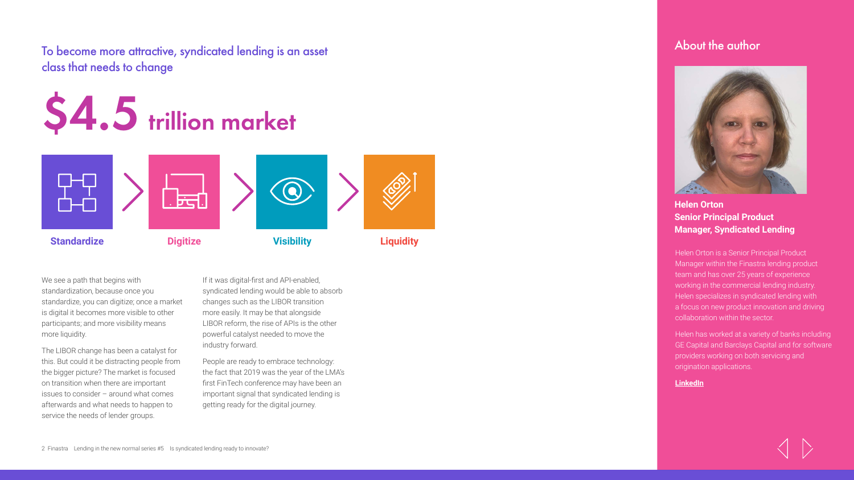To become more attractive, syndicated lending is an asset class that needs to change

## **\$4.5 trillion market**



We see a path that begins with standardization, because once you standardize, you can digitize; once a market is digital it becomes more visible to other participants; and more visibility means more liquidity.

The LIBOR change has been a catalyst for this. But could it be distracting people from the bigger picture? The market is focused on transition when there are important issues to consider – around what comes afterwards and what needs to happen to service the needs of lender groups.

If it was digital-first and API-enabled, syndicated lending would be able to absorb changes such as the LIBOR transition more easily. It may be that alongside LIBOR reform, the rise of APIs is the other powerful catalyst needed to move the industry forward.

People are ready to embrace technology: the fact that 2019 was the year of the LMA's first FinTech conference may have been an important signal that syndicated lending is getting ready for the digital journey.





## **Helen Orton Senior Principal Product Manager, Syndicated Lending**

Helen Orton is a Senior Principal Product Manager within the Finastra lending product team and has over 25 years of experience working in the commercial lending industry. Helen specializes in syndicated lending with a focus on new product innovation and driving collaboration within the sector.

Helen has worked at a variety of banks including GE Capital and Barclays Capital and for software providers working on both servicing and origination applications.

**[LinkedIn](https://www.linkedin.com/in/helen-orton-542496a2/)**